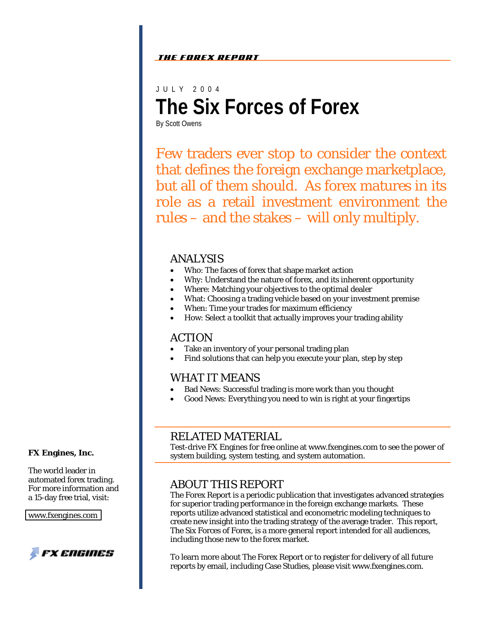#### The Forex Report

JULY 2 004 **The Six Forces of Forex**

By Scott Owens

Few traders ever stop to consider the context that defines the foreign exchange marketplace, but all of them should. As forex matures in its role as a retail investment environment the rules – and the stakes – will only multiply.

#### ANALYSIS

- Who: The faces of forex that shape market action
- Why: Understand the nature of forex, and its inherent opportunity
- Where: Matching your objectives to the optimal dealer
- What: Choosing a trading vehicle based on your investment premise
- When: Time your trades for maximum efficiency
- How: Select a toolkit that actually improves your trading ability

#### ACTION

- Take an inventory of your personal trading plan
- Find solutions that can help you execute your plan, step by step

#### WHAT IT MEANS

- Bad News: Successful trading is more work than you thought
- Good News: Everything you need to win is right at your fingertips

### RELATED MATERIAL

Test-drive FX Engines for free online at www.fxengines.com to see the power of system building, system testing, and system automation.

### ABOUT THIS REPORT

The Forex Report is a periodic publication that investigates advanced strategies for superior trading performance in the foreign exchange markets. These reports utilize advanced statistical and econometric modeling techniques to create new insight into the trading strategy of the average trader. This report, The Six Forces of Forex, is a more general report intended for all audiences, including those new to the forex market.

To learn more about The Forex Report or to register for delivery of all future reports by email, including Case Studies, please visit www.fxengines.com.

#### **FX Engines, Inc.**

The world leader in automated forex trading. For more information and a 15-day free trial, visit:

[www.fxengines.com](http://www.fxengines.com) 

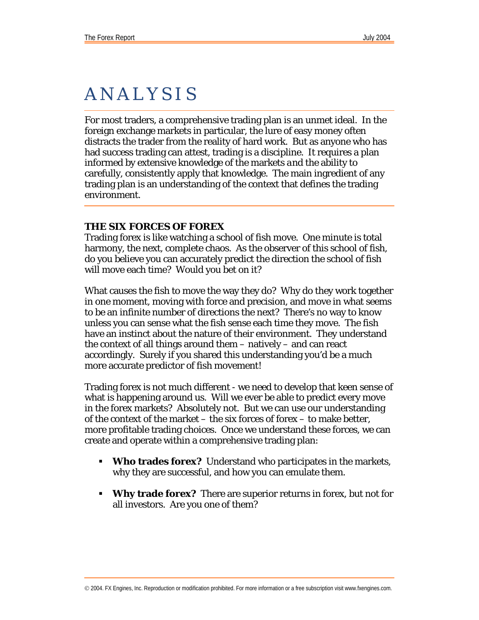# ANALYSIS

For most traders, a comprehensive trading plan is an unmet ideal. In the foreign exchange markets in particular, the lure of easy money often distracts the trader from the reality of hard work. But as anyone who has had success trading can attest, trading is a discipline. It requires a plan informed by extensive knowledge of the markets *and* the ability to carefully, consistently apply that knowledge. The main ingredient of any trading plan is an understanding of the context that defines the trading environment.

#### **THE SIX FORCES OF FOREX**

Trading forex is like watching a school of fish move. One minute is total harmony, the next, complete chaos. As the observer of this school of fish, do you believe you can accurately predict the direction the school of fish will move each time? Would you bet on it?

What causes the fish to move the way they do? Why do they work together in one moment, moving with force and precision, and move in what seems to be an infinite number of directions the next? There's no way to know unless you can sense what the fish sense each time they move. The fish have an instinct about the nature of their environment. They understand the context of all things around them – natively – and can react accordingly. Surely if you shared this understanding you'd be a much more accurate predictor of fish movement!

Trading forex is not much different - we need to develop that keen sense of what is happening around us. Will we ever be able to predict every move in the forex markets? Absolutely not. But we can use our understanding of the context of the market – the six forces of forex – to make better, more profitable trading choices. Once we understand these forces, we can create and operate within a comprehensive trading plan:

- **Who trades forex?** Understand who participates in the markets, why they are successful, and how you can emulate them.
- **Why trade forex?** There are superior returns in forex, but not for all investors. Are you one of them?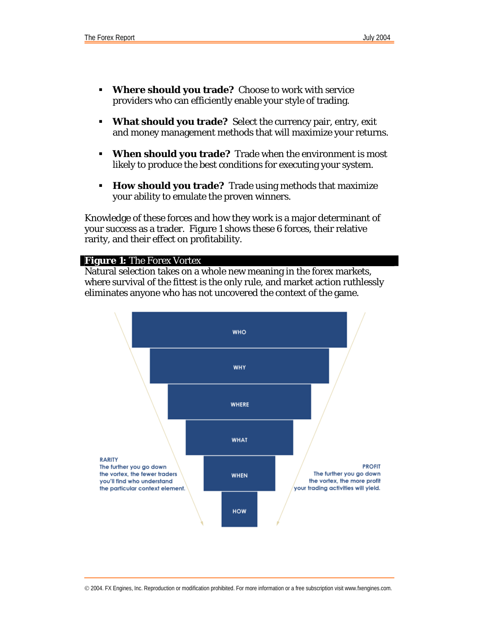- **Where should you trade?** Choose to work with service providers who can efficiently enable your style of trading.
- **What should you trade?** Select the currency pair, entry, exit and money management methods that will maximize your returns.
- **When should you trade?** Trade when the environment is most likely to produce the best conditions for executing your system.
- **How should you trade?** Trade using methods that maximize your ability to emulate the proven winners.

Knowledge of these forces and how they work is a major determinant of your success as a trader. Figure 1 shows these 6 forces, their relative rarity, and their effect on profitability.

#### **Figure 1:** The Forex Vortex

Natural selection takes on a whole new meaning in the forex markets, where survival of the fittest is the only rule, and market action ruthlessly eliminates anyone who has not uncovered the context of the game.

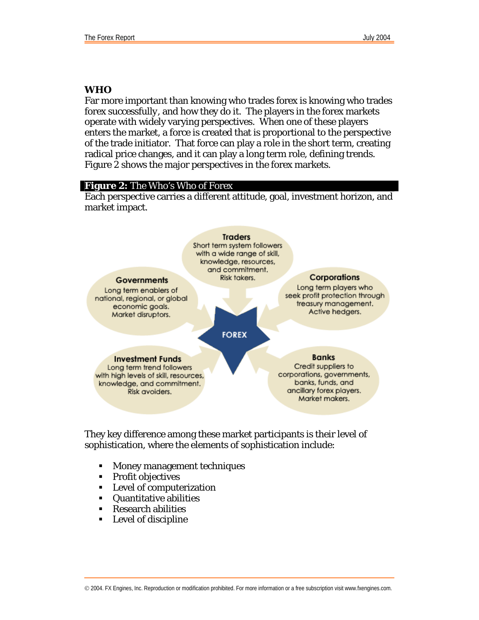#### **WHO**

Far more important than knowing who trades forex is knowing who trades forex *successfully*, and how they do it. The players in the forex markets operate with widely varying perspectives. When one of these players enters the market, a force is created that is proportional to the perspective of the trade initiator. That force can play a role in the short term, creating radical price changes, and it can play a long term role, defining trends. Figure 2 shows the major perspectives in the forex markets.

#### **Figure 2:** The Who's Who of Forex

Each perspective carries a different attitude, goal, investment horizon, and market impact.



They key difference among these market participants is their level of sophistication, where the elements of sophistication include:

- Money management techniques
- **Profit objectives**
- **Level of computerization**
- Quantitative abilities
- Research abilities
- Level of discipline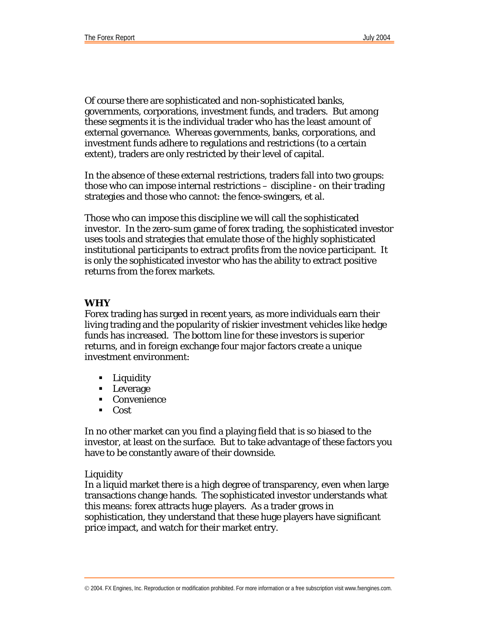Of course there are sophisticated and non-sophisticated banks, governments, corporations, investment funds, and traders. But among these segments it is the individual trader who has the least amount of external governance. Whereas governments, banks, corporations, and investment funds adhere to regulations and restrictions (to a certain extent), traders are only restricted by their level of capital.

In the absence of these external restrictions, traders fall into two groups: those who can impose internal restrictions – discipline - on their trading strategies and those who cannot: the fence-swingers, et al.

Those who can impose this discipline we will call the sophisticated investor. In the zero-sum game of forex trading, the sophisticated investor uses tools and strategies that emulate those of the highly sophisticated institutional participants to extract profits from the novice participant. It is only the sophisticated investor who has the ability to extract positive returns from the forex markets.

#### **WHY**

Forex trading has surged in recent years, as more individuals earn their living trading and the popularity of riskier investment vehicles like hedge funds has increased. The bottom line for these investors is superior returns, and in foreign exchange four major factors create a unique investment environment:

- Liquidity
- **Leverage**
- Convenience
- $\overline{\phantom{a}}$  Cost

In no other market can you find a playing field that is so biased to the investor, at least on the surface. But to take advantage of these factors you have to be constantly aware of their downside.

#### *Liquidity*

In a liquid market there is a high degree of transparency, even when large transactions change hands. The sophisticated investor understands what this means: forex attracts huge players. As a trader grows in sophistication, they understand that these huge players have significant price impact, and watch for their market entry.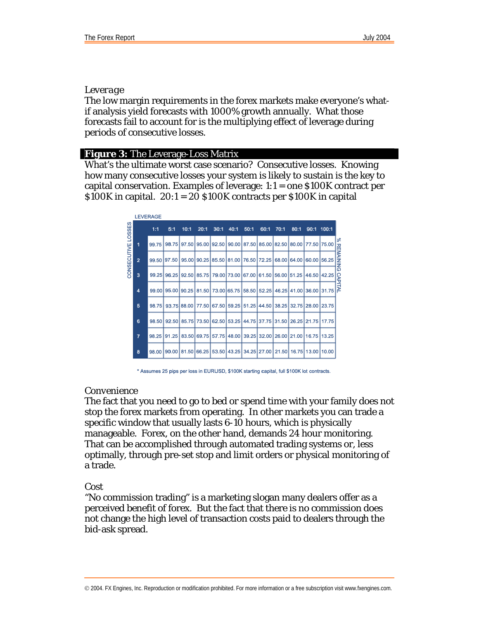#### *Leverage*

The low margin requirements in the forex markets make everyone's whatif analysis yield forecasts with 1000% growth annually. What those forecasts fail to account for is the multiplying effect of leverage during periods of consecutive losses.

#### **Figure 3:** The Leverage-Loss Matrix

What's the ultimate worst case scenario? Consecutive losses. Knowing how many consecutive losses your system is likely to sustain is the key to capital conservation. Examples of leverage: 1:1 = one \$100K contract per  $$100K$  in capital.  $20:1 = 20$   $$100K$  contracts per  $$100K$  in capital

|             |                | <b>LEVERAGE</b> |       |             |       |                               |       |      |                   |                                           |                   |                   |             |             |
|-------------|----------------|-----------------|-------|-------------|-------|-------------------------------|-------|------|-------------------|-------------------------------------------|-------------------|-------------------|-------------|-------------|
| LOSSES      |                | 1:1             | 5:1   | 10:1        | 20:1  | 30:1                          | 40:1  | 50:1 | 60:1              | 70:1                                      | 80:1              |                   | 90:1 100:1  |             |
|             | 1              | 99.75           | 98.75 | 97.50       |       | 95.00 92.50                   |       |      |                   | 90.00 87.50 85.00 82.50 80.00 77.50 75.00 |                   |                   |             | ×<br>쥬      |
| CONSECUTIVE | $\overline{2}$ | 99.50           | 97.50 | 95.00       |       | 90.25 85.50 81.00 76.50 72.25 |       |      |                   |                                           | 68.00 64.00 60.00 |                   | 56.25       | NIAINI<br>₹ |
|             | 3              | 99.25           | 96.25 | 92.50       |       | 85.75 79.00 73.00 67.00 61.50 |       |      |                   | 56.00 51.25                               |                   |                   | 46.50 42.25 | G<br>CAP    |
|             | 4              | 99.00           | 95,00 | 90.25       |       | 81.50 73.00 65.75             |       |      | 58.50 52.25       |                                           | 46.25 41.00 36.00 |                   | 31.75       | Þ           |
|             | 5              | 98.75           |       | 93.75 88.00 |       | 77.50 67.50                   | 59.25 |      | 51.25 44.50       | 38.25                                     | 32.75 28.00       |                   | 23.75       |             |
|             | 6              | 98.50           | 92.50 |             |       | 85.75 73.50 62.50             |       |      | 53.25 44.75 37.75 | 31.50                                     |                   | 26.25 21.75 17.75 |             |             |
|             | 7              | 98.25           | 91.25 | 83.50       | 69.75 | 57.75                         | 48.00 |      |                   | 39.25 32.00 26.00 21.00 16.75             |                   |                   | 13.25       |             |
|             | 8              | 98.00           | 90.00 | 81.50       | 66.25 | 53.50                         | 43.25 |      | 34.25 27.00       | 21.50                                     |                   | 16.75 13.00 10.00 |             |             |
|             |                |                 |       |             |       |                               |       |      |                   |                                           |                   |                   |             |             |

\* Assumes 25 pips per loss in EURUSD, \$100K starting capital, full \$100K lot contracts.

#### *Convenience*

The fact that you need to go to bed or spend time with your family does not stop the forex markets from operating. In other markets you can trade a specific window that usually lasts 6-10 hours, which is physically manageable. Forex, on the other hand, demands 24 hour monitoring. That can be accomplished through automated trading systems or, less optimally, through pre-set stop and limit orders or physical monitoring of a trade.

#### *Cost*

"No commission trading" is a marketing slogan many dealers offer as a perceived benefit of forex. But the fact that there is no commission does not change the high level of transaction costs paid to dealers through the bid-ask spread.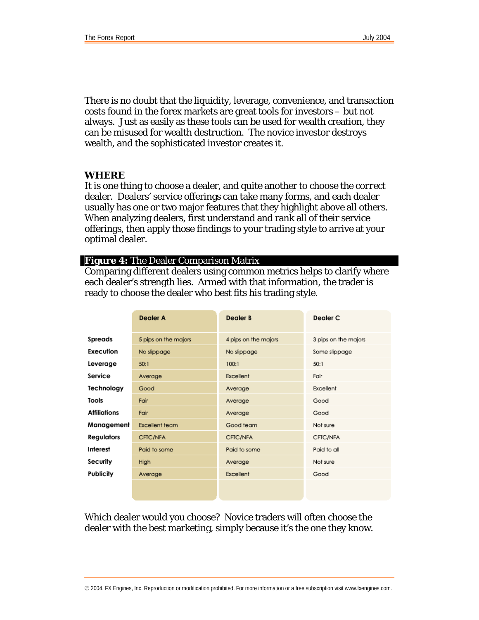There is no doubt that the liquidity, leverage, convenience, and transaction costs found in the forex markets are great tools for investors – but not always. Just as easily as these tools can be used for wealth creation, they can be misused for wealth destruction. The novice investor destroys wealth, and the sophisticated investor creates it.

#### **WHERE**

It is one thing to choose a dealer, and quite another to choose *the correct*  dealer. Dealers' service offerings can take many forms, and each dealer usually has one or two major features that they highlight above all others. When analyzing dealers, first understand and rank all of their service offerings, then apply those findings to your trading style to arrive at your optimal dealer.

#### **Figure 4:** The Dealer Comparison Matrix

Comparing different dealers using common metrics helps to clarify where each dealer's strength lies. Armed with that information, the trader is ready to choose the dealer who best fits his trading style.

|                     | <b>Dealer A</b>      | <b>Dealer B</b>      | Dealer <sub>C</sub>  |
|---------------------|----------------------|----------------------|----------------------|
| Spreads             | 5 pips on the majors | 4 pips on the majors | 3 pips on the majors |
| Execution           | No slippage          | No slippage          | Some slippage        |
| Leverage            | 50:1                 | 100:1                | 50:1                 |
| Service             | Average              | Excellent            | Fair                 |
| Technology          | Good                 | Average              | Excellent            |
| Tools               | Fair                 | Average              | Good                 |
| <b>Affiliations</b> | Fair                 | Average              | Good                 |
| Management          | Excellent team       | Good team            | Not sure             |
| <b>Regulators</b>   | CFIC/NFA             | CFIC/NFA             | CFTC/NFA             |
| Interest            | Paid to some         | Paid to some         | Paid to all          |
| Security            | High                 | Average              | Not sure             |
| Publicity           | Average              | Excellent            | Good                 |
|                     |                      |                      |                      |

Which dealer would you choose? Novice traders will often choose the dealer with the best marketing, simply because it's the one they know.

© 2004. FX Engines, Inc. Reproduction or modification prohibited. For more information or a free subscription visit www.fxengines.com.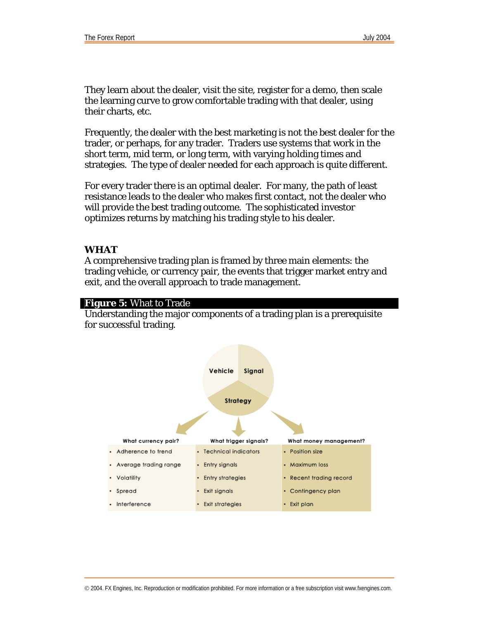They learn about the dealer, visit the site, register for a demo, then scale the learning curve to grow comfortable trading with that dealer, using their charts, etc.

Frequently, the dealer with the best marketing is not the best dealer for the trader, or perhaps, for any trader. Traders use systems that work in the short term, mid term, or long term, with varying holding times and strategies. The type of dealer needed for each approach is quite different.

For every trader there is an optimal dealer. For many, the path of least resistance leads to the dealer who makes first contact, not the dealer who will provide the best trading outcome. The sophisticated investor optimizes returns by matching his trading style to his dealer.

#### **WHAT**

A comprehensive trading plan is framed by three main elements: the trading vehicle, or currency pair, the events that trigger market entry and exit, and the overall approach to trade management.

#### **Figure 5:** What to Trade

Understanding the major components of a trading plan is a prerequisite for successful trading.

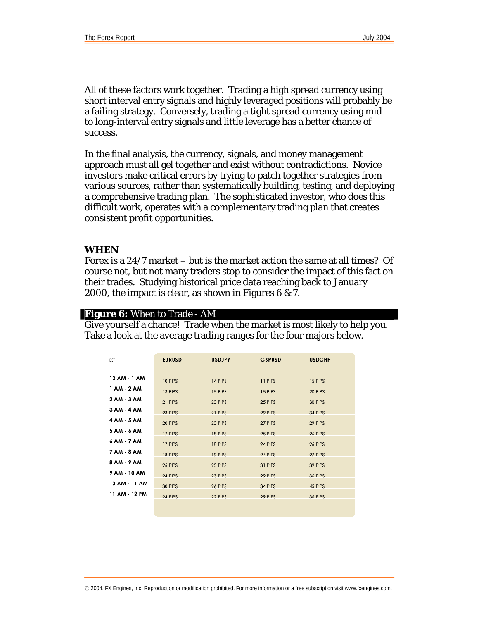All of these factors work together. Trading a high spread currency using short interval entry signals and highly leveraged positions will probably be a failing strategy. Conversely, trading a tight spread currency using midto long-interval entry signals and little leverage has a better chance of success.

In the final analysis, the currency, signals, and money management approach must all gel together and exist without contradictions. Novice investors make critical errors by trying to patch together strategies from various sources, rather than systematically building, testing, and deploying a comprehensive trading plan. The sophisticated investor, who does this difficult work, operates with a complementary trading plan that creates consistent profit opportunities.

#### **WHEN**

Forex is a 24/7 market – but is the market action the same at all times? Of course not, but not many traders stop to consider the impact of this fact on their trades. Studying historical price data reaching back to January 2000, the impact is clear, as shown in Figures 6 & 7.

#### **Figure 6:** When to Trade - AM

Give yourself a chance! Trade when the market is most likely to help you. Take a look at the average trading ranges for the four majors below.

| <b>EST</b>    | <b>EURUSD</b> | <b>USDJPY</b> | <b>GBPUSD</b> | <b>USDCHF</b> |
|---------------|---------------|---------------|---------------|---------------|
| 12 AM - 1 AM  | 10 PIPS       | 14 PIPS       | 11 PIPS       | 15 PIPS       |
| 1 AM - 2 AM   | 13 PIPS       | 15 PIPS       | 15 PIPS       | 20 PIPS       |
| 2 AM - 3 AM   | 21 PIPS       | 20 PIPS       | 25 PIPS       | 30 PIPS       |
| 3 AM - 4 AM   | 23 PIPS       | 21 PIPS       | 29 PIPS       | 34 PIPS       |
| 4 AM - 5 AM   | 20 PIPS       | 20 PIPS       | 27 PIPS       | 29 PIPS       |
| 5 AM - 6 AM   | 17 PIPS       | 18 PIPS       | 25 PIPS       | 26 PIPS       |
| 6 AM - 7 AM   | 17 PIPS       | 18 PIPS       | 24 PIPS       | 26 PIPS       |
| 7 AM - 8 AM   | 18 PIPS       | 19 PIPS       | 24 PIPS       | 27 PIPS       |
| 8 AM - 9 AM   | 26 PIPS       | 25 PIPS       | 31 PIPS       | 39 PIPS       |
| 9 AM - 10 AM  | 24 PIPS       | 23 PIPS       | 29 PIPS       | 36 PIPS       |
| 10 AM - 11 AM | 30 PIPS       | 26 PIPS       | 34 PIPS       | 45 PIPS       |
| 11 AM - 12 PM | 24 PIPS       | 22 PIPS       | 29 PIPS       | 36 PIPS       |
|               |               |               |               |               |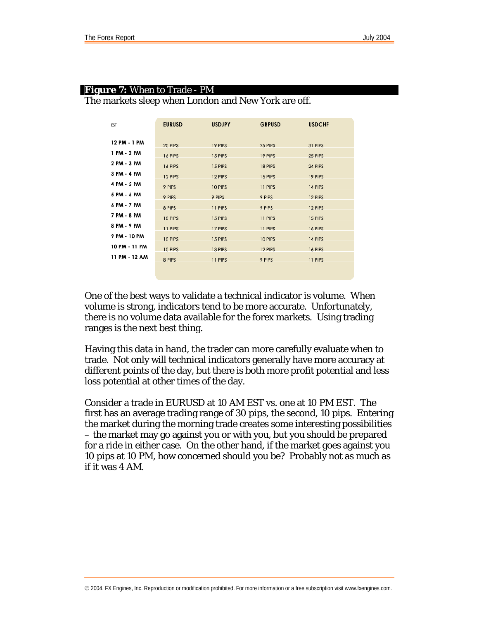| <b>EST</b>    | <b>EURUSD</b> | <b>USDJPY</b> | <b>GBPUSD</b> | <b>USDCHF</b> |
|---------------|---------------|---------------|---------------|---------------|
|               |               |               |               |               |
| 12 PM - 1 PM  | 20 PIPS       | 19 PIPS       | 25 PIPS       | 31 PIPS       |
| 1 PM - 2 PM   | 16 PIPS       | 15 PIPS       | 19 PIPS       | 25 PIPS       |
| 2 PM - 3 PM   | 16 PIPS       | 15 PIPS       | 18 PIPS       | 24 PIPS       |
| 3 PM - 4 PM   | 12 PIPS       | 12 PIPS       | 15 PIPS       | 19 PIPS       |
| 4 PM - 5 PM   | 9 PIPS        | 10 PIPS       | 11 PIPS       | 14 PIPS       |
| 5 PM - 6 PM   | 9 PIPS        | 9 PIPS        | 9 PIPS        | 12 PIPS       |
| 6 PM - 7 PM   | 8 PIPS        | 11 PIPS       | 9 PIPS        | 12 PIPS       |
| 7 PM - 8 PM   | 10 PIPS       | 15 PIPS       | 11 PIPS       | 15 PIPS       |
| 8 PM - 9 PM   | 11 PIPS       | 17 PIPS       | 11 PIPS       | 16 PIPS       |
| 9 PM - 10 PM  | 10 PIPS       | 15 PIPS       | 10 PIPS       | 14 PIPS       |
| 10 PM - 11 PM | 10 PIPS       | 13 PIPS       | 12 PIPS       | 16 PIPS       |
| 11 PM - 12 AM | 8 PIPS        | 11 PIPS       | 9 PIPS        | 11 PIPS       |
|               |               |               |               |               |

### **Figure 7:** When to Trade - PM

The markets sleep when London and New York are off.

One of the best ways to validate a technical indicator is volume. When volume is strong, indicators tend to be more accurate. Unfortunately, there is no volume data available for the forex markets. Using trading ranges is the next best thing.

Having this data in hand, the trader can more carefully evaluate when to trade. Not only will technical indicators generally have more accuracy at different points of the day, but there is both more profit potential and less loss potential at other times of the day.

Consider a trade in EURUSD at 10 AM EST vs. one at 10 PM EST. The first has an average trading range of 30 pips, the second, 10 pips. Entering the market during the morning trade creates some interesting possibilities – the market may go against you or with you, but you should be prepared for a ride in either case. On the other hand, if the market goes against you 10 pips at 10 PM, how concerned should you be? Probably not as much as if it was 4 AM.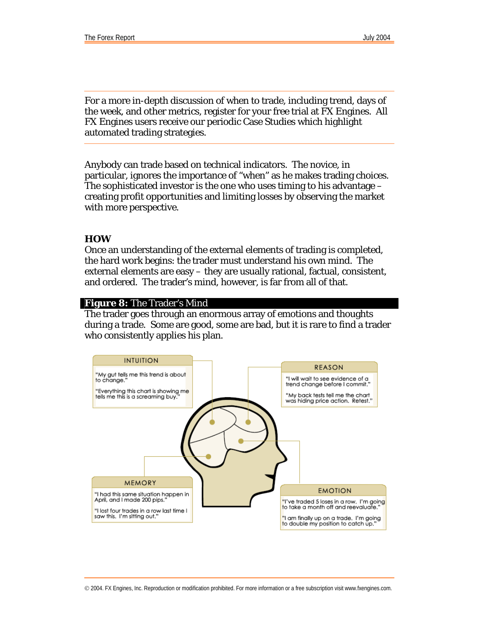$\overline{a}$ 

For a more in-depth discussion of when to trade, including trend, days of the week, and other metrics, register for your free trial at FX Engines. All FX Engines users receive our periodic Case Studies which highlight automated trading strategies.

Anybody can trade based on technical indicators. The novice, in particular, ignores the importance of "when" as he makes trading choices. The sophisticated investor is the one who uses timing to his advantage  $$ creating profit opportunities and limiting losses by observing the market with more perspective.

#### **HOW**

Once an understanding of the external elements of trading is completed, the hard work begins: the trader must understand his own mind. The external elements are easy – they are usually rational, factual, consistent, and ordered. The trader's mind, however, is far from all of that.

#### **Figure 8:** The Trader's Mind

The trader goes through an enormous array of emotions and thoughts during a trade. Some are good, some are bad, but it is rare to find a trader who consistently applies his plan.

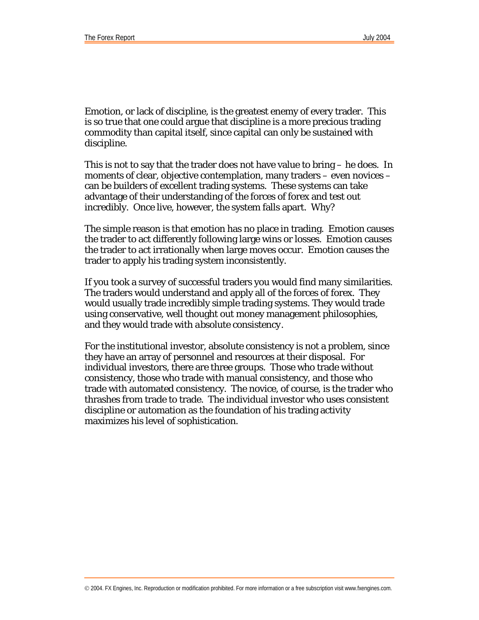Emotion, or lack of discipline, is the greatest enemy of every trader. This is so true that one could argue that discipline is a more precious trading commodity than capital itself, since capital can only be sustained with discipline.

This is not to say that the trader does not have value to bring – he does. In moments of clear, objective contemplation, many traders – even novices – can be builders of excellent trading systems. These systems can take advantage of their understanding of the forces of forex and test out incredibly. Once live, however, the system falls apart. Why?

The simple reason is that emotion has no place in trading. Emotion causes the trader to act differently following large wins or losses. Emotion causes the trader to act irrationally when large moves occur. Emotion causes the trader to apply his trading system inconsistently.

If you took a survey of successful traders you would find many similarities. The traders would understand and apply all of the forces of forex. They would usually trade incredibly simple trading systems. They would trade using conservative, well thought out money management philosophies, and they would trade with *absolute consistency*.

For the institutional investor, absolute consistency is not a problem, since they have an array of personnel and resources at their disposal. For individual investors, there are three groups. Those who trade without consistency, those who trade with manual consistency, and those who trade with automated consistency. The novice, of course, is the trader who thrashes from trade to trade. The individual investor who uses consistent discipline or automation as the foundation of his trading activity maximizes his level of sophistication.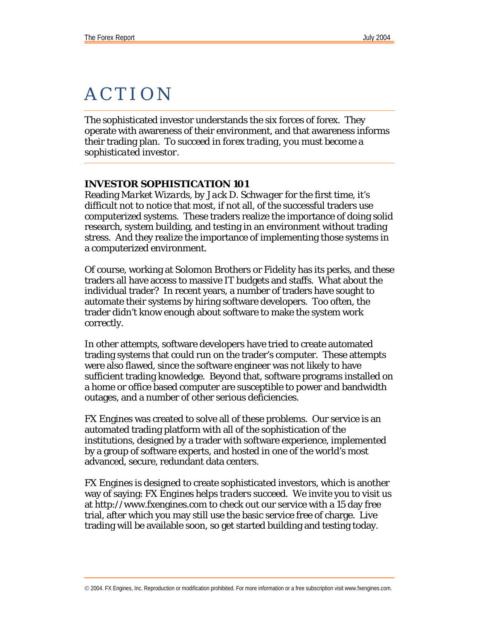### **ACTION**  $\overline{a}$

The sophisticated investor understands the six forces of forex. They operate with awareness of their environment, and that awareness informs their trading plan. *To succeed in forex trading, you must become a sophisticated investor.* 

#### **INVESTOR SOPHISTICATION 101**

Reading *Market Wizards, by Jack D. Schwager* for the first time, it's difficult not to notice that most, if not all, of the successful traders use computerized systems. These traders realize the importance of doing solid research, system building, and testing in an environment without trading stress. And they realize the importance of implementing those systems in a computerized environment.

Of course, working at Solomon Brothers or Fidelity has its perks, and these traders all have access to massive IT budgets and staffs. What about the individual trader? In recent years, a number of traders have sought to automate their systems by hiring software developers. Too often, the trader didn't know enough about software to make the system work correctly.

In other attempts, software developers have tried to create automated trading systems that could run on the trader's computer. These attempts were also flawed, since the software engineer was not likely to have sufficient trading knowledge. Beyond that, software programs installed on a home or office based computer are susceptible to power and bandwidth outages, and a number of other serious deficiencies.

FX Engines was created to solve all of these problems. Our service is an automated trading platform with all of the sophistication of the institutions, designed by a trader with software experience, implemented by a group of software experts, and hosted in one of the world's most advanced, secure, redundant data centers.

FX Engines is designed to create sophisticated investors, which is another way of saying: *FX Engines helps traders succeed*. We invite you to visit us at<http://www.fxengines.com> to check out our service with a 15 day free trial, after which you may still use the basic service free of charge. Live trading will be available soon, so get started building and testing today.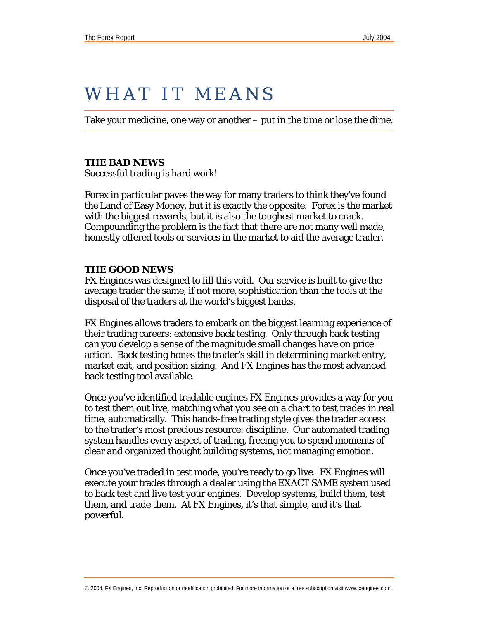# WHAT IT MEANS

Take your medicine, one way or another – put in the time or lose the dime.

#### **THE BAD NEWS**

Successful trading is hard work!

Forex in particular paves the way for many traders to think they've found the Land of Easy Money, but it is exactly the opposite. Forex is the market with the biggest rewards, but it is also the toughest market to crack. Compounding the problem is the fact that there are not many well made, honestly offered tools or services in the market to aid the average trader.

#### **THE GOOD NEWS**

FX Engines was designed to fill this void. Our service is built to give the average trader the same, if not more, sophistication than the tools at the disposal of the traders at the world's biggest banks.

FX Engines allows traders to embark on the biggest learning experience of their trading careers: extensive back testing. Only through back testing can you develop a sense of the magnitude small changes have on price action. Back testing hones the trader's skill in determining market entry, market exit, and position sizing. And FX Engines has the most advanced back testing tool available.

Once you've identified tradable engines FX Engines provides a way for you to test them out live, matching what you see on a chart to test trades in real time, automatically. This hands-free trading style gives the trader access to the trader's most precious resource: discipline. Our automated trading system handles every aspect of trading, freeing you to spend moments of clear and organized thought building systems, not managing emotion.

Once you've traded in test mode, you're ready to go live. FX Engines will execute your trades through a dealer using the EXACT SAME system used to back test and live test your engines. Develop systems, build them, test them, and trade them. At FX Engines, it's that simple, and it's that powerful.